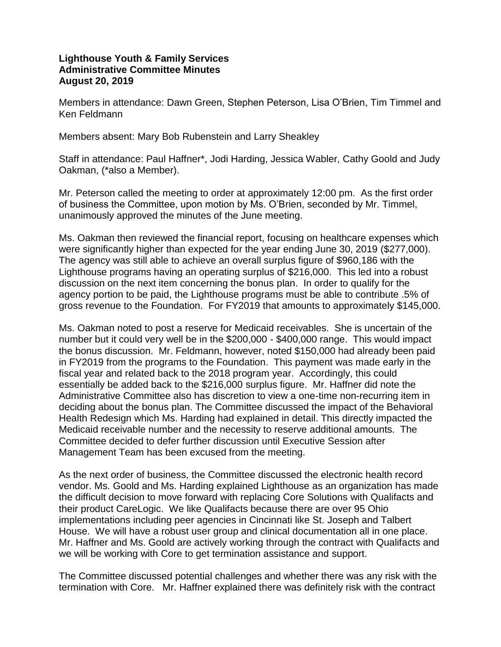## **Lighthouse Youth & Family Services Administrative Committee Minutes August 20, 2019**

Members in attendance: Dawn Green, Stephen Peterson, Lisa O'Brien, Tim Timmel and Ken Feldmann

Members absent: Mary Bob Rubenstein and Larry Sheakley

Staff in attendance: Paul Haffner\*, Jodi Harding, Jessica Wabler, Cathy Goold and Judy Oakman, (\*also a Member).

Mr. Peterson called the meeting to order at approximately 12:00 pm. As the first order of business the Committee, upon motion by Ms. O'Brien, seconded by Mr. Timmel, unanimously approved the minutes of the June meeting.

Ms. Oakman then reviewed the financial report, focusing on healthcare expenses which were significantly higher than expected for the year ending June 30, 2019 (\$277,000). The agency was still able to achieve an overall surplus figure of \$960,186 with the Lighthouse programs having an operating surplus of \$216,000. This led into a robust discussion on the next item concerning the bonus plan. In order to qualify for the agency portion to be paid, the Lighthouse programs must be able to contribute .5% of gross revenue to the Foundation. For FY2019 that amounts to approximately \$145,000.

Ms. Oakman noted to post a reserve for Medicaid receivables. She is uncertain of the number but it could very well be in the \$200,000 - \$400,000 range. This would impact the bonus discussion. Mr. Feldmann, however, noted \$150,000 had already been paid in FY2019 from the programs to the Foundation. This payment was made early in the fiscal year and related back to the 2018 program year. Accordingly, this could essentially be added back to the \$216,000 surplus figure. Mr. Haffner did note the Administrative Committee also has discretion to view a one-time non-recurring item in deciding about the bonus plan. The Committee discussed the impact of the Behavioral Health Redesign which Ms. Harding had explained in detail. This directly impacted the Medicaid receivable number and the necessity to reserve additional amounts. The Committee decided to defer further discussion until Executive Session after Management Team has been excused from the meeting.

As the next order of business, the Committee discussed the electronic health record vendor. Ms. Goold and Ms. Harding explained Lighthouse as an organization has made the difficult decision to move forward with replacing Core Solutions with Qualifacts and their product CareLogic. We like Qualifacts because there are over 95 Ohio implementations including peer agencies in Cincinnati like St. Joseph and Talbert House. We will have a robust user group and clinical documentation all in one place. Mr. Haffner and Ms. Goold are actively working through the contract with Qualifacts and we will be working with Core to get termination assistance and support.

The Committee discussed potential challenges and whether there was any risk with the termination with Core. Mr. Haffner explained there was definitely risk with the contract